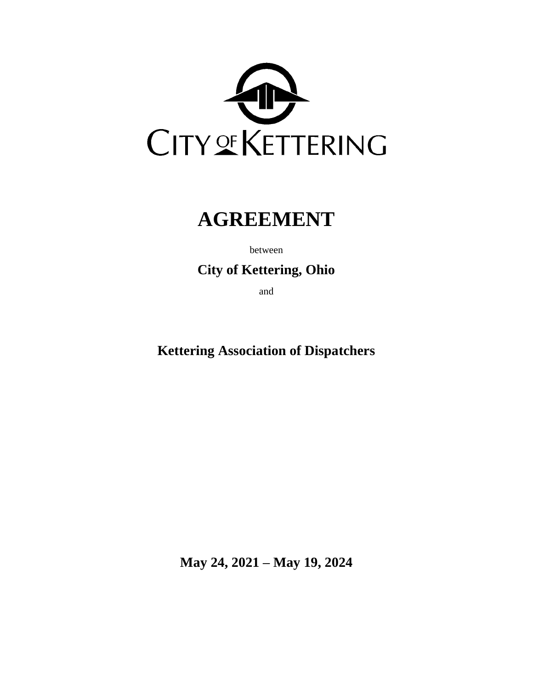

# **AGREEMENT**

between

**City of Kettering, Ohio**

and

**Kettering Association of Dispatchers**

**May 24, 2021 – May 19, 2024**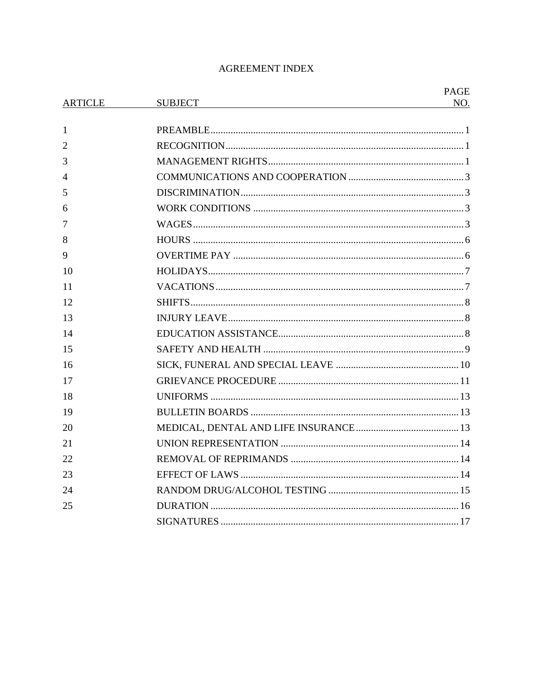## **AGREEMENT INDEX**

|                |                | <b>PAGE</b> |
|----------------|----------------|-------------|
| <b>ARTICLE</b> | <b>SUBJECT</b> | NO.         |
| 1              |                |             |
| $\overline{2}$ |                |             |
| 3              |                |             |
| 4              |                |             |
| 5              |                |             |
| 6              |                |             |
| 7              |                |             |
| 8              |                |             |
| 9              |                |             |
| 10             |                |             |
| 11             |                |             |
| 12             |                |             |
| 13             |                |             |
| 14             |                |             |
| 15             |                |             |
| 16             |                |             |
| 17             |                |             |
| 18             |                |             |
| 19             |                |             |
| 20             |                |             |
| 21             |                |             |
| 22             |                |             |
| 23             |                |             |
| 24             |                |             |
| 25             |                |             |
|                |                |             |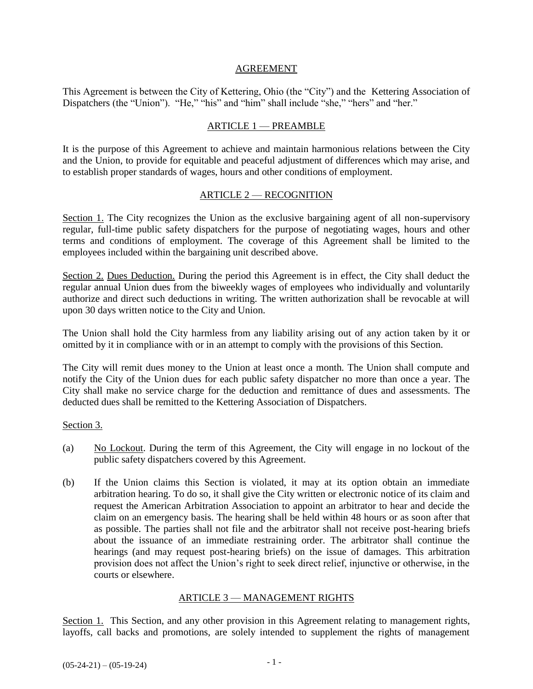#### AGREEMENT

This Agreement is between the City of Kettering, Ohio (the "City") and the Kettering Association of Dispatchers (the "Union"). "He," "his" and "him" shall include "she," "hers" and "her."

#### ARTICLE 1 — PREAMBLE

It is the purpose of this Agreement to achieve and maintain harmonious relations between the City and the Union, to provide for equitable and peaceful adjustment of differences which may arise, and to establish proper standards of wages, hours and other conditions of employment.

#### ARTICLE 2 — RECOGNITION

Section 1. The City recognizes the Union as the exclusive bargaining agent of all non-supervisory regular, full-time public safety dispatchers for the purpose of negotiating wages, hours and other terms and conditions of employment. The coverage of this Agreement shall be limited to the employees included within the bargaining unit described above.

Section 2. Dues Deduction. During the period this Agreement is in effect, the City shall deduct the regular annual Union dues from the biweekly wages of employees who individually and voluntarily authorize and direct such deductions in writing. The written authorization shall be revocable at will upon 30 days written notice to the City and Union.

The Union shall hold the City harmless from any liability arising out of any action taken by it or omitted by it in compliance with or in an attempt to comply with the provisions of this Section.

The City will remit dues money to the Union at least once a month. The Union shall compute and notify the City of the Union dues for each public safety dispatcher no more than once a year. The City shall make no service charge for the deduction and remittance of dues and assessments. The deducted dues shall be remitted to the Kettering Association of Dispatchers.

Section 3.

- (a) No Lockout. During the term of this Agreement, the City will engage in no lockout of the public safety dispatchers covered by this Agreement.
- (b) If the Union claims this Section is violated, it may at its option obtain an immediate arbitration hearing. To do so, it shall give the City written or electronic notice of its claim and request the American Arbitration Association to appoint an arbitrator to hear and decide the claim on an emergency basis. The hearing shall be held within 48 hours or as soon after that as possible. The parties shall not file and the arbitrator shall not receive post-hearing briefs about the issuance of an immediate restraining order. The arbitrator shall continue the hearings (and may request post-hearing briefs) on the issue of damages. This arbitration provision does not affect the Union's right to seek direct relief, injunctive or otherwise, in the courts or elsewhere.

## ARTICLE 3 — MANAGEMENT RIGHTS

Section 1. This Section, and any other provision in this Agreement relating to management rights, layoffs, call backs and promotions, are solely intended to supplement the rights of management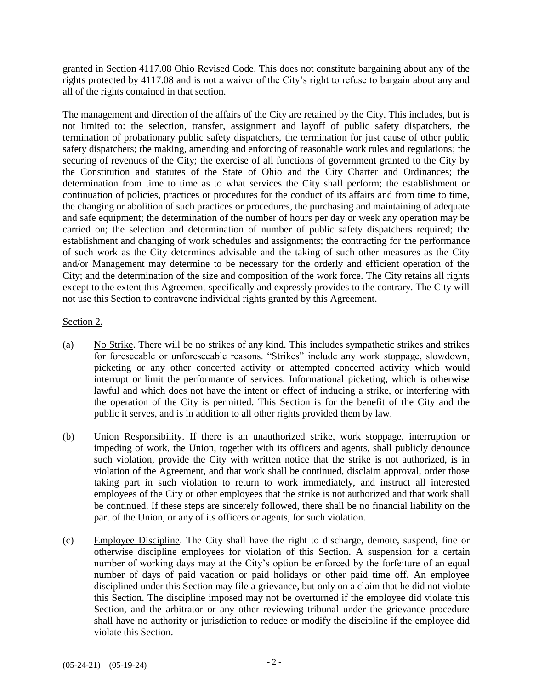granted in Section 4117.08 Ohio Revised Code. This does not constitute bargaining about any of the rights protected by 4117.08 and is not a waiver of the City's right to refuse to bargain about any and all of the rights contained in that section.

The management and direction of the affairs of the City are retained by the City. This includes, but is not limited to: the selection, transfer, assignment and layoff of public safety dispatchers, the termination of probationary public safety dispatchers, the termination for just cause of other public safety dispatchers; the making, amending and enforcing of reasonable work rules and regulations; the securing of revenues of the City; the exercise of all functions of government granted to the City by the Constitution and statutes of the State of Ohio and the City Charter and Ordinances; the determination from time to time as to what services the City shall perform; the establishment or continuation of policies, practices or procedures for the conduct of its affairs and from time to time, the changing or abolition of such practices or procedures, the purchasing and maintaining of adequate and safe equipment; the determination of the number of hours per day or week any operation may be carried on; the selection and determination of number of public safety dispatchers required; the establishment and changing of work schedules and assignments; the contracting for the performance of such work as the City determines advisable and the taking of such other measures as the City and/or Management may determine to be necessary for the orderly and efficient operation of the City; and the determination of the size and composition of the work force. The City retains all rights except to the extent this Agreement specifically and expressly provides to the contrary. The City will not use this Section to contravene individual rights granted by this Agreement.

## Section 2.

- (a) No Strike. There will be no strikes of any kind. This includes sympathetic strikes and strikes for foreseeable or unforeseeable reasons. "Strikes" include any work stoppage, slowdown, picketing or any other concerted activity or attempted concerted activity which would interrupt or limit the performance of services. Informational picketing, which is otherwise lawful and which does not have the intent or effect of inducing a strike, or interfering with the operation of the City is permitted. This Section is for the benefit of the City and the public it serves, and is in addition to all other rights provided them by law.
- (b) Union Responsibility. If there is an unauthorized strike, work stoppage, interruption or impeding of work, the Union, together with its officers and agents, shall publicly denounce such violation, provide the City with written notice that the strike is not authorized, is in violation of the Agreement, and that work shall be continued, disclaim approval, order those taking part in such violation to return to work immediately, and instruct all interested employees of the City or other employees that the strike is not authorized and that work shall be continued. If these steps are sincerely followed, there shall be no financial liability on the part of the Union, or any of its officers or agents, for such violation.
- (c) Employee Discipline. The City shall have the right to discharge, demote, suspend, fine or otherwise discipline employees for violation of this Section. A suspension for a certain number of working days may at the City's option be enforced by the forfeiture of an equal number of days of paid vacation or paid holidays or other paid time off. An employee disciplined under this Section may file a grievance, but only on a claim that he did not violate this Section. The discipline imposed may not be overturned if the employee did violate this Section, and the arbitrator or any other reviewing tribunal under the grievance procedure shall have no authority or jurisdiction to reduce or modify the discipline if the employee did violate this Section.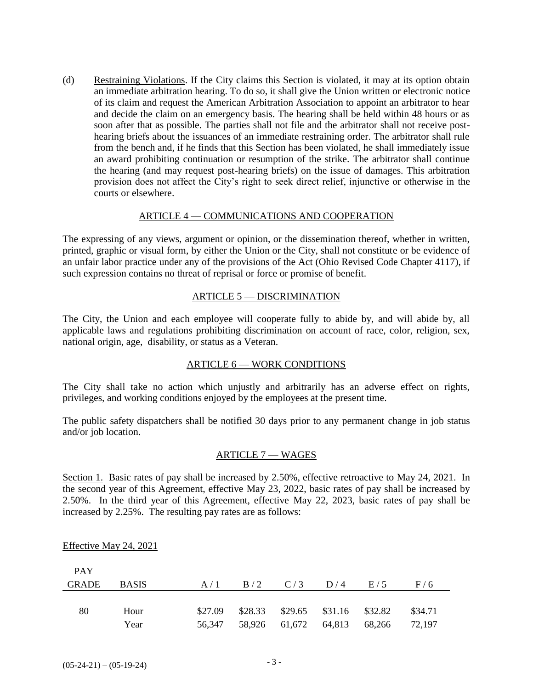(d) Restraining Violations. If the City claims this Section is violated, it may at its option obtain an immediate arbitration hearing. To do so, it shall give the Union written or electronic notice of its claim and request the American Arbitration Association to appoint an arbitrator to hear and decide the claim on an emergency basis. The hearing shall be held within 48 hours or as soon after that as possible. The parties shall not file and the arbitrator shall not receive posthearing briefs about the issuances of an immediate restraining order. The arbitrator shall rule from the bench and, if he finds that this Section has been violated, he shall immediately issue an award prohibiting continuation or resumption of the strike. The arbitrator shall continue the hearing (and may request post-hearing briefs) on the issue of damages. This arbitration provision does not affect the City's right to seek direct relief, injunctive or otherwise in the courts or elsewhere.

#### ARTICLE 4 — COMMUNICATIONS AND COOPERATION

The expressing of any views, argument or opinion, or the dissemination thereof, whether in written, printed, graphic or visual form, by either the Union or the City, shall not constitute or be evidence of an unfair labor practice under any of the provisions of the Act (Ohio Revised Code Chapter 4117), if such expression contains no threat of reprisal or force or promise of benefit.

#### ARTICLE 5 — DISCRIMINATION

The City, the Union and each employee will cooperate fully to abide by, and will abide by, all applicable laws and regulations prohibiting discrimination on account of race, color, religion, sex, national origin, age, disability, or status as a Veteran.

## ARTICLE 6 — WORK CONDITIONS

The City shall take no action which unjustly and arbitrarily has an adverse effect on rights, privileges, and working conditions enjoyed by the employees at the present time.

The public safety dispatchers shall be notified 30 days prior to any permanent change in job status and/or job location.

#### ARTICLE 7 — WAGES

Section 1. Basic rates of pay shall be increased by 2.50%, effective retroactive to May 24, 2021. In the second year of this Agreement, effective May 23, 2022, basic rates of pay shall be increased by 2.50%. In the third year of this Agreement, effective May 22, 2023, basic rates of pay shall be increased by 2.25%. The resulting pay rates are as follows:

| <b>PAY</b> |              |                                              |  |         |
|------------|--------------|----------------------------------------------|--|---------|
| GRADE      | <b>BASIS</b> | $A/1$ $B/2$ $C/3$ $D/4$ $E/5$                |  | F/6     |
|            |              |                                              |  |         |
| 80         | Hour         | $$27.09$ $$28.33$ $$29.65$ $$31.16$ $$32.82$ |  | \$34.71 |
|            | Year         | 56,347 58,926 61,672 64,813 68,266 72,197    |  |         |

#### Effective May 24, 2021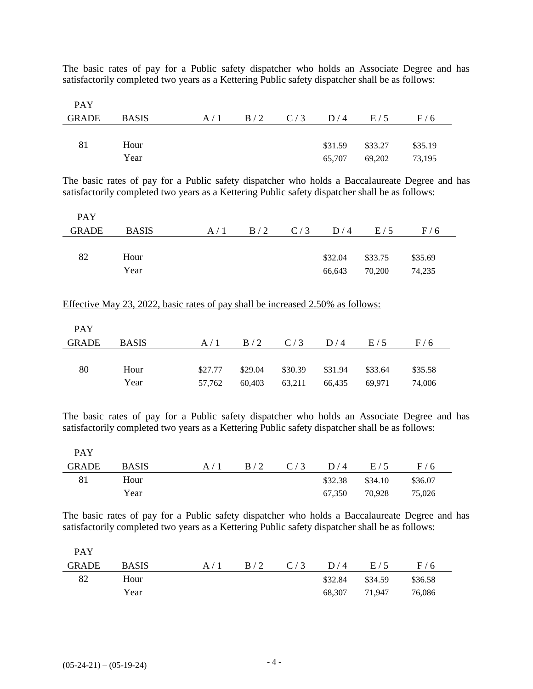The basic rates of pay for a Public safety dispatcher who holds an Associate Degree and has satisfactorily completed two years as a Kettering Public safety dispatcher shall be as follows:

| <b>PAY</b> |              |  |                               |         |         |  |
|------------|--------------|--|-------------------------------|---------|---------|--|
| GRADE      | <b>BASIS</b> |  | $A/1$ $B/2$ $C/3$ $D/4$ $E/5$ |         | F/6     |  |
|            |              |  |                               |         |         |  |
| 81         | Hour         |  | \$31.59                       | \$33.27 | \$35.19 |  |
|            | Year         |  | 65,707                        | 69,202  | 73,195  |  |

The basic rates of pay for a Public safety dispatcher who holds a Baccalaureate Degree and has satisfactorily completed two years as a Kettering Public safety dispatcher shall be as follows:

| <b>PAY</b>   |              |     |  |                   |         |         |  |
|--------------|--------------|-----|--|-------------------|---------|---------|--|
| <b>GRADE</b> | <b>BASIS</b> | A/1 |  | $B/2$ $C/3$ $D/4$ | E/5     | F/6     |  |
|              |              |     |  |                   |         |         |  |
| 82           | Hour         |     |  | \$32.04           | \$33.75 | \$35.69 |  |
|              | Year         |     |  | 66,643            | 70,200  | 74,235  |  |

#### Effective May 23, 2022, basic rates of pay shall be increased 2.50% as follows:

| <b>PAY</b> |              |         |         |                   |        |         |         |
|------------|--------------|---------|---------|-------------------|--------|---------|---------|
| GRADE      | <b>BASIS</b> | A/1     |         | $B/2$ $C/3$ $D/4$ |        | E/5     | F/6     |
|            |              |         |         |                   |        |         |         |
| 80         | Hour         | \$27.77 | \$29.04 | \$30.39 \$31.94   |        | \$33.64 | \$35.58 |
|            | Year         | 57,762  | 60,403  | 63,211            | 66,435 | 69,971  | 74,006  |

The basic rates of pay for a Public safety dispatcher who holds an Associate Degree and has satisfactorily completed two years as a Kettering Public safety dispatcher shall be as follows:

| <b>PAY</b> |              |     |     |           |               |         |  |
|------------|--------------|-----|-----|-----------|---------------|---------|--|
| GRADE      | <b>BASIS</b> | A/1 | B/2 | $C/3$ D/4 | E/5           | F/6     |  |
| 81         | Hour         |     |     | \$32.38   | \$34.10       | \$36.07 |  |
|            | Year         |     |     |           | 67,350 70,928 | 75,026  |  |

The basic rates of pay for a Public safety dispatcher who holds a Baccalaureate Degree and has satisfactorily completed two years as a Kettering Public safety dispatcher shall be as follows:

| <b>PAY</b> |              |     |             |         |               |         |  |
|------------|--------------|-----|-------------|---------|---------------|---------|--|
| GRADE      | <b>BASIS</b> | A/1 | $B/2$ $C/3$ | D/4     | E/5           | F/6     |  |
| 82         | Hour         |     |             | \$32.84 | \$34.59       | \$36.58 |  |
|            | Year         |     |             |         | 68.307 71.947 | 76,086  |  |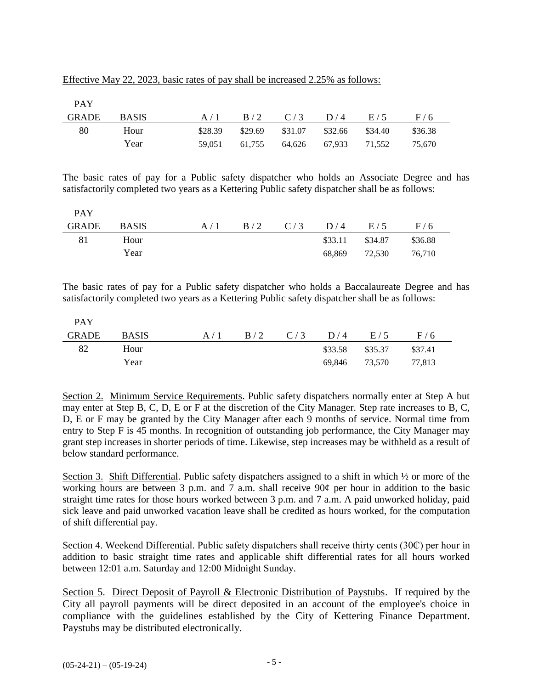|--|

| <b>PAY</b> |              |         |                               |                      |         |         |  |
|------------|--------------|---------|-------------------------------|----------------------|---------|---------|--|
| GRADE      | <b>BASIS</b> |         | $A/1$ $B/2$ $C/3$ $D/4$ $E/5$ |                      |         | F/6     |  |
| 80         | Hour         | \$28.39 | \$29.69                       | \$31.07 \$32.66      | \$34.40 | \$36.38 |  |
|            | Year         | 59.051  | 61.755                        | 64,626 67,933 71,552 |         | 75.670  |  |

The basic rates of pay for a Public safety dispatcher who holds an Associate Degree and has satisfactorily completed two years as a Kettering Public safety dispatcher shall be as follows:

| <b>PAY</b> |              |     |                         |         |         |         |  |
|------------|--------------|-----|-------------------------|---------|---------|---------|--|
| GRADE      | <b>BASIS</b> | A/1 | $B/2$ $C/3$ $D/4$ $E/5$ |         |         | F/6     |  |
| 81         | Hour         |     |                         | \$33.11 | \$34.87 | \$36.88 |  |
|            | Year         |     |                         | 68.869  | 72,530  | 76.710  |  |

The basic rates of pay for a Public safety dispatcher who holds a Baccalaureate Degree and has satisfactorily completed two years as a Kettering Public safety dispatcher shall be as follows:

| <b>PAY</b> |              |     |  |                   |                      |         |  |
|------------|--------------|-----|--|-------------------|----------------------|---------|--|
| GRADE      | <b>BASIS</b> | A/1 |  | $B/2$ $C/3$ $D/4$ | E/5                  | F/6     |  |
| 82         | Hour         |     |  |                   | \$33.58 \$35.37      | \$37.41 |  |
|            | Year         |     |  |                   | 69,846 73,570 77,813 |         |  |

Section 2. Minimum Service Requirements. Public safety dispatchers normally enter at Step A but may enter at Step B, C, D, E or F at the discretion of the City Manager. Step rate increases to B, C, D, E or F may be granted by the City Manager after each 9 months of service. Normal time from entry to Step F is 45 months. In recognition of outstanding job performance, the City Manager may grant step increases in shorter periods of time. Likewise, step increases may be withheld as a result of below standard performance.

Section 3. Shift Differential. Public safety dispatchers assigned to a shift in which ½ or more of the working hours are between 3 p.m. and 7 a.m. shall receive 90¢ per hour in addition to the basic straight time rates for those hours worked between 3 p.m. and 7 a.m. A paid unworked holiday, paid sick leave and paid unworked vacation leave shall be credited as hours worked, for the computation of shift differential pay.

Section 4. Weekend Differential. Public safety dispatchers shall receive thirty cents (30¢) per hour in addition to basic straight time rates and applicable shift differential rates for all hours worked between 12:01 a.m. Saturday and 12:00 Midnight Sunday.

Section 5. Direct Deposit of Payroll & Electronic Distribution of Paystubs. If required by the City all payroll payments will be direct deposited in an account of the employee's choice in compliance with the guidelines established by the City of Kettering Finance Department. Paystubs may be distributed electronically.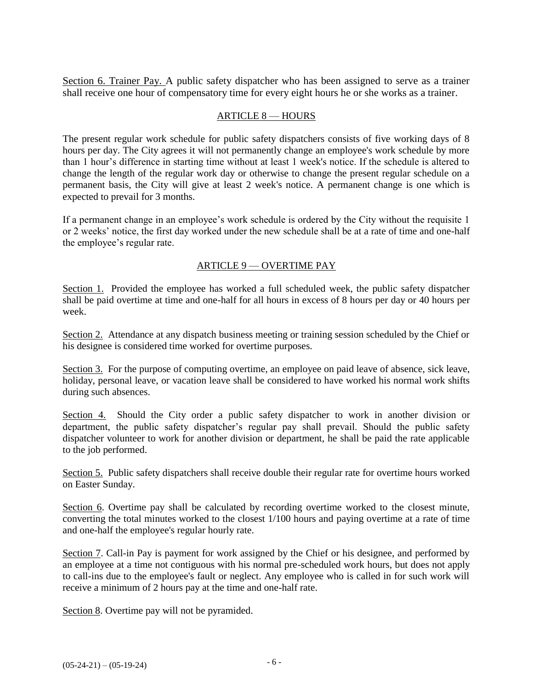Section 6. Trainer Pay. A public safety dispatcher who has been assigned to serve as a trainer shall receive one hour of compensatory time for every eight hours he or she works as a trainer.

#### ARTICLE 8 — HOURS

The present regular work schedule for public safety dispatchers consists of five working days of 8 hours per day. The City agrees it will not permanently change an employee's work schedule by more than 1 hour's difference in starting time without at least 1 week's notice. If the schedule is altered to change the length of the regular work day or otherwise to change the present regular schedule on a permanent basis, the City will give at least 2 week's notice. A permanent change is one which is expected to prevail for 3 months.

If a permanent change in an employee's work schedule is ordered by the City without the requisite 1 or 2 weeks' notice, the first day worked under the new schedule shall be at a rate of time and one-half the employee's regular rate.

## ARTICLE 9 — OVERTIME PAY

Section 1. Provided the employee has worked a full scheduled week, the public safety dispatcher shall be paid overtime at time and one-half for all hours in excess of 8 hours per day or 40 hours per week.

Section 2. Attendance at any dispatch business meeting or training session scheduled by the Chief or his designee is considered time worked for overtime purposes.

Section 3. For the purpose of computing overtime, an employee on paid leave of absence, sick leave, holiday, personal leave, or vacation leave shall be considered to have worked his normal work shifts during such absences.

Section 4. Should the City order a public safety dispatcher to work in another division or department, the public safety dispatcher's regular pay shall prevail. Should the public safety dispatcher volunteer to work for another division or department, he shall be paid the rate applicable to the job performed.

Section 5. Public safety dispatchers shall receive double their regular rate for overtime hours worked on Easter Sunday.

Section 6. Overtime pay shall be calculated by recording overtime worked to the closest minute, converting the total minutes worked to the closest 1/100 hours and paying overtime at a rate of time and one-half the employee's regular hourly rate.

Section 7. Call-in Pay is payment for work assigned by the Chief or his designee, and performed by an employee at a time not contiguous with his normal pre-scheduled work hours, but does not apply to call-ins due to the employee's fault or neglect. Any employee who is called in for such work will receive a minimum of 2 hours pay at the time and one-half rate.

Section 8. Overtime pay will not be pyramided.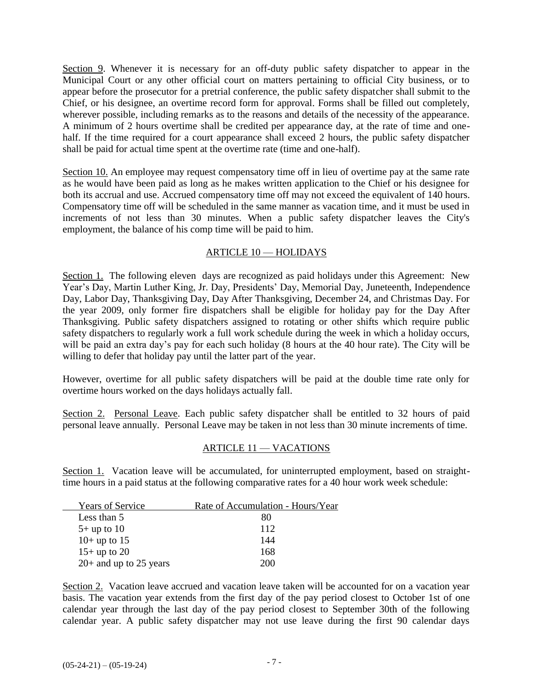Section 9. Whenever it is necessary for an off-duty public safety dispatcher to appear in the Municipal Court or any other official court on matters pertaining to official City business, or to appear before the prosecutor for a pretrial conference, the public safety dispatcher shall submit to the Chief, or his designee, an overtime record form for approval. Forms shall be filled out completely, wherever possible, including remarks as to the reasons and details of the necessity of the appearance. A minimum of 2 hours overtime shall be credited per appearance day, at the rate of time and onehalf. If the time required for a court appearance shall exceed 2 hours, the public safety dispatcher shall be paid for actual time spent at the overtime rate (time and one-half).

Section 10. An employee may request compensatory time off in lieu of overtime pay at the same rate as he would have been paid as long as he makes written application to the Chief or his designee for both its accrual and use. Accrued compensatory time off may not exceed the equivalent of 140 hours. Compensatory time off will be scheduled in the same manner as vacation time, and it must be used in increments of not less than 30 minutes. When a public safety dispatcher leaves the City's employment, the balance of his comp time will be paid to him.

## ARTICLE 10 — HOLIDAYS

Section 1. The following eleven days are recognized as paid holidays under this Agreement: New Year's Day, Martin Luther King, Jr. Day, Presidents' Day, Memorial Day, Juneteenth, Independence Day, Labor Day, Thanksgiving Day, Day After Thanksgiving, December 24, and Christmas Day. For the year 2009, only former fire dispatchers shall be eligible for holiday pay for the Day After Thanksgiving. Public safety dispatchers assigned to rotating or other shifts which require public safety dispatchers to regularly work a full work schedule during the week in which a holiday occurs, will be paid an extra day's pay for each such holiday (8 hours at the 40 hour rate). The City will be willing to defer that holiday pay until the latter part of the year.

However, overtime for all public safety dispatchers will be paid at the double time rate only for overtime hours worked on the days holidays actually fall.

Section 2. Personal Leave. Each public safety dispatcher shall be entitled to 32 hours of paid personal leave annually. Personal Leave may be taken in not less than 30 minute increments of time.

## ARTICLE 11 — VACATIONS

Section 1. Vacation leave will be accumulated, for uninterrupted employment, based on straighttime hours in a paid status at the following comparative rates for a 40 hour work week schedule:

| <b>Years of Service</b>  | Rate of Accumulation - Hours/Year |
|--------------------------|-----------------------------------|
| Less than 5              | 80                                |
| $5+$ up to 10            | 112                               |
| $10+$ up to 15           | 144                               |
| $15+$ up to 20           | 168                               |
| $20+$ and up to 25 years | 200                               |

Section 2. Vacation leave accrued and vacation leave taken will be accounted for on a vacation year basis. The vacation year extends from the first day of the pay period closest to October 1st of one calendar year through the last day of the pay period closest to September 30th of the following calendar year. A public safety dispatcher may not use leave during the first 90 calendar days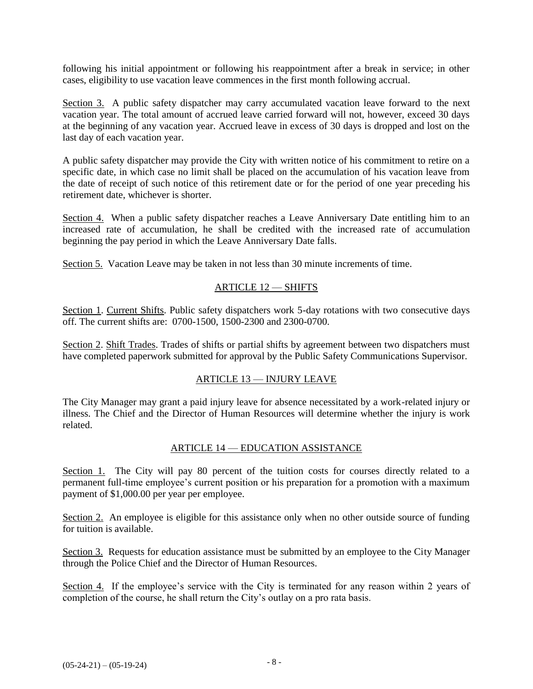following his initial appointment or following his reappointment after a break in service; in other cases, eligibility to use vacation leave commences in the first month following accrual.

Section 3. A public safety dispatcher may carry accumulated vacation leave forward to the next vacation year. The total amount of accrued leave carried forward will not, however, exceed 30 days at the beginning of any vacation year. Accrued leave in excess of 30 days is dropped and lost on the last day of each vacation year.

A public safety dispatcher may provide the City with written notice of his commitment to retire on a specific date, in which case no limit shall be placed on the accumulation of his vacation leave from the date of receipt of such notice of this retirement date or for the period of one year preceding his retirement date, whichever is shorter.

Section 4. When a public safety dispatcher reaches a Leave Anniversary Date entitling him to an increased rate of accumulation, he shall be credited with the increased rate of accumulation beginning the pay period in which the Leave Anniversary Date falls.

Section 5. Vacation Leave may be taken in not less than 30 minute increments of time.

## ARTICLE 12 — SHIFTS

Section 1. Current Shifts. Public safety dispatchers work 5-day rotations with two consecutive days off. The current shifts are: 0700-1500, 1500-2300 and 2300-0700.

Section 2. Shift Trades. Trades of shifts or partial shifts by agreement between two dispatchers must have completed paperwork submitted for approval by the Public Safety Communications Supervisor.

## ARTICLE 13 — INJURY LEAVE

The City Manager may grant a paid injury leave for absence necessitated by a work-related injury or illness. The Chief and the Director of Human Resources will determine whether the injury is work related.

## ARTICLE 14 — EDUCATION ASSISTANCE

Section 1. The City will pay 80 percent of the tuition costs for courses directly related to a permanent full-time employee's current position or his preparation for a promotion with a maximum payment of \$1,000.00 per year per employee.

Section 2. An employee is eligible for this assistance only when no other outside source of funding for tuition is available.

Section 3. Requests for education assistance must be submitted by an employee to the City Manager through the Police Chief and the Director of Human Resources.

Section 4. If the employee's service with the City is terminated for any reason within 2 years of completion of the course, he shall return the City's outlay on a pro rata basis.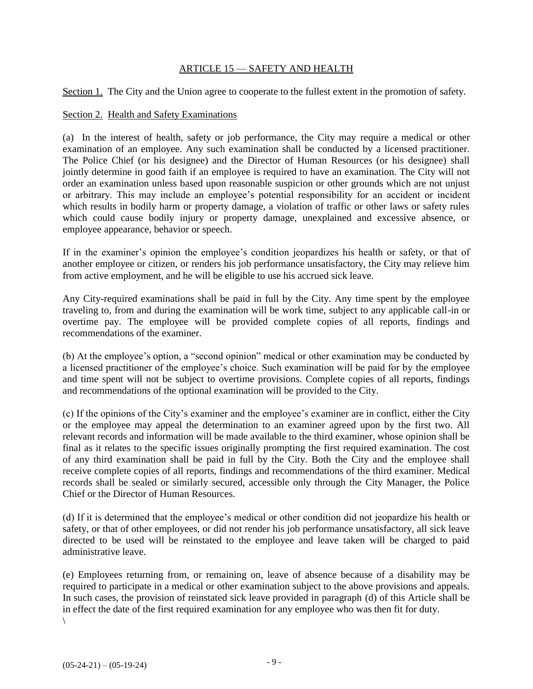#### ARTICLE 15 — SAFETY AND HEALTH

Section 1. The City and the Union agree to cooperate to the fullest extent in the promotion of safety.

#### Section 2. Health and Safety Examinations

(a) In the interest of health, safety or job performance, the City may require a medical or other examination of an employee. Any such examination shall be conducted by a licensed practitioner. The Police Chief (or his designee) and the Director of Human Resources (or his designee) shall jointly determine in good faith if an employee is required to have an examination. The City will not order an examination unless based upon reasonable suspicion or other grounds which are not unjust or arbitrary. This may include an employee's potential responsibility for an accident or incident which results in bodily harm or property damage, a violation of traffic or other laws or safety rules which could cause bodily injury or property damage, unexplained and excessive absence, or employee appearance, behavior or speech.

If in the examiner's opinion the employee's condition jeopardizes his health or safety, or that of another employee or citizen, or renders his job performance unsatisfactory, the City may relieve him from active employment, and he will be eligible to use his accrued sick leave.

Any City-required examinations shall be paid in full by the City. Any time spent by the employee traveling to, from and during the examination will be work time, subject to any applicable call-in or overtime pay. The employee will be provided complete copies of all reports, findings and recommendations of the examiner.

(b) At the employee's option, a "second opinion" medical or other examination may be conducted by a licensed practitioner of the employee's choice. Such examination will be paid for by the employee and time spent will not be subject to overtime provisions. Complete copies of all reports, findings and recommendations of the optional examination will be provided to the City.

(c) If the opinions of the City's examiner and the employee's examiner are in conflict, either the City or the employee may appeal the determination to an examiner agreed upon by the first two. All relevant records and information will be made available to the third examiner, whose opinion shall be final as it relates to the specific issues originally prompting the first required examination. The cost of any third examination shall be paid in full by the City. Both the City and the employee shall receive complete copies of all reports, findings and recommendations of the third examiner. Medical records shall be sealed or similarly secured, accessible only through the City Manager, the Police Chief or the Director of Human Resources.

(d) If it is determined that the employee's medical or other condition did not jeopardize his health or safety, or that of other employees, or did not render his job performance unsatisfactory, all sick leave directed to be used will be reinstated to the employee and leave taken will be charged to paid administrative leave.

(e) Employees returning from, or remaining on, leave of absence because of a disability may be required to participate in a medical or other examination subject to the above provisions and appeals. In such cases, the provision of reinstated sick leave provided in paragraph (d) of this Article shall be in effect the date of the first required examination for any employee who was then fit for duty. \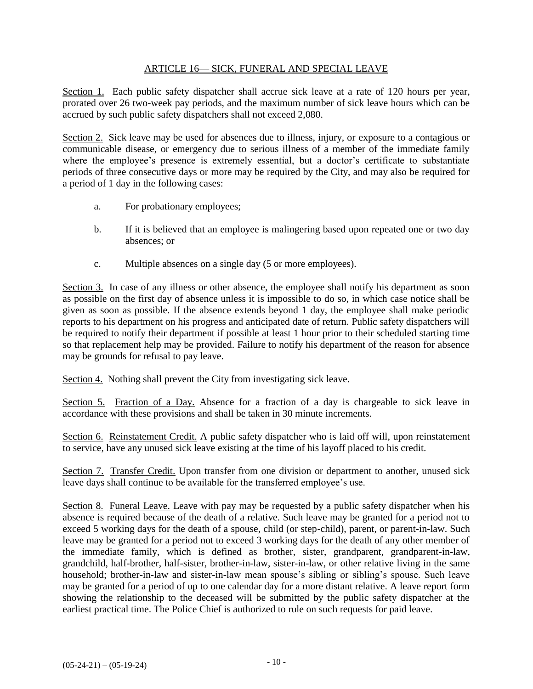## ARTICLE 16— SICK, FUNERAL AND SPECIAL LEAVE

Section 1. Each public safety dispatcher shall accrue sick leave at a rate of 120 hours per year, prorated over 26 two-week pay periods, and the maximum number of sick leave hours which can be accrued by such public safety dispatchers shall not exceed 2,080.

Section 2. Sick leave may be used for absences due to illness, injury, or exposure to a contagious or communicable disease, or emergency due to serious illness of a member of the immediate family where the employee's presence is extremely essential, but a doctor's certificate to substantiate periods of three consecutive days or more may be required by the City, and may also be required for a period of 1 day in the following cases:

- a. For probationary employees;
- b. If it is believed that an employee is malingering based upon repeated one or two day absences; or
- c. Multiple absences on a single day (5 or more employees).

Section 3. In case of any illness or other absence, the employee shall notify his department as soon as possible on the first day of absence unless it is impossible to do so, in which case notice shall be given as soon as possible. If the absence extends beyond 1 day, the employee shall make periodic reports to his department on his progress and anticipated date of return. Public safety dispatchers will be required to notify their department if possible at least 1 hour prior to their scheduled starting time so that replacement help may be provided. Failure to notify his department of the reason for absence may be grounds for refusal to pay leave.

Section 4. Nothing shall prevent the City from investigating sick leave.

Section 5. Fraction of a Day. Absence for a fraction of a day is chargeable to sick leave in accordance with these provisions and shall be taken in 30 minute increments.

Section 6. Reinstatement Credit. A public safety dispatcher who is laid off will, upon reinstatement to service, have any unused sick leave existing at the time of his layoff placed to his credit.

Section 7. Transfer Credit. Upon transfer from one division or department to another, unused sick leave days shall continue to be available for the transferred employee's use.

Section 8. Funeral Leave. Leave with pay may be requested by a public safety dispatcher when his absence is required because of the death of a relative. Such leave may be granted for a period not to exceed 5 working days for the death of a spouse, child (or step-child), parent, or parent-in-law. Such leave may be granted for a period not to exceed 3 working days for the death of any other member of the immediate family, which is defined as brother, sister, grandparent, grandparent-in-law, grandchild, half-brother, half-sister, brother-in-law, sister-in-law, or other relative living in the same household; brother-in-law and sister-in-law mean spouse's sibling or sibling's spouse. Such leave may be granted for a period of up to one calendar day for a more distant relative. A leave report form showing the relationship to the deceased will be submitted by the public safety dispatcher at the earliest practical time. The Police Chief is authorized to rule on such requests for paid leave.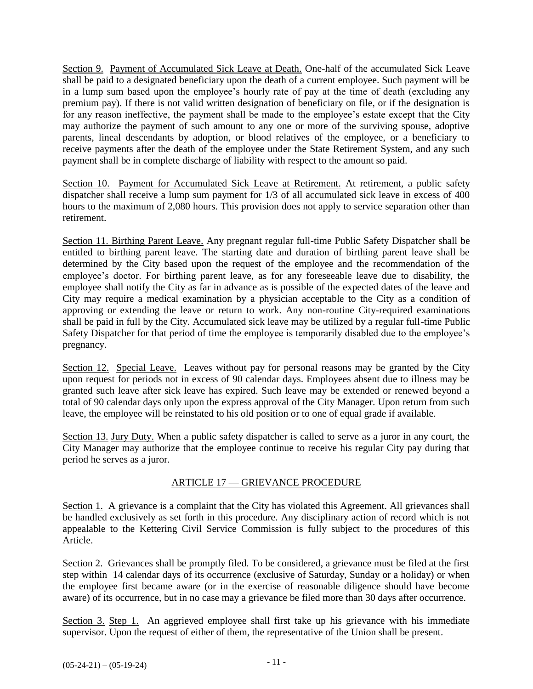Section 9. Payment of Accumulated Sick Leave at Death. One-half of the accumulated Sick Leave shall be paid to a designated beneficiary upon the death of a current employee. Such payment will be in a lump sum based upon the employee's hourly rate of pay at the time of death (excluding any premium pay). If there is not valid written designation of beneficiary on file, or if the designation is for any reason ineffective, the payment shall be made to the employee's estate except that the City may authorize the payment of such amount to any one or more of the surviving spouse, adoptive parents, lineal descendants by adoption, or blood relatives of the employee, or a beneficiary to receive payments after the death of the employee under the State Retirement System, and any such payment shall be in complete discharge of liability with respect to the amount so paid.

Section 10. Payment for Accumulated Sick Leave at Retirement. At retirement, a public safety dispatcher shall receive a lump sum payment for 1/3 of all accumulated sick leave in excess of 400 hours to the maximum of 2,080 hours. This provision does not apply to service separation other than retirement.

Section 11. Birthing Parent Leave. Any pregnant regular full-time Public Safety Dispatcher shall be entitled to birthing parent leave. The starting date and duration of birthing parent leave shall be determined by the City based upon the request of the employee and the recommendation of the employee's doctor. For birthing parent leave, as for any foreseeable leave due to disability, the employee shall notify the City as far in advance as is possible of the expected dates of the leave and City may require a medical examination by a physician acceptable to the City as a condition of approving or extending the leave or return to work. Any non-routine City-required examinations shall be paid in full by the City. Accumulated sick leave may be utilized by a regular full-time Public Safety Dispatcher for that period of time the employee is temporarily disabled due to the employee's pregnancy.

Section 12. Special Leave. Leaves without pay for personal reasons may be granted by the City upon request for periods not in excess of 90 calendar days. Employees absent due to illness may be granted such leave after sick leave has expired. Such leave may be extended or renewed beyond a total of 90 calendar days only upon the express approval of the City Manager. Upon return from such leave, the employee will be reinstated to his old position or to one of equal grade if available.

Section 13. Jury Duty. When a public safety dispatcher is called to serve as a juror in any court, the City Manager may authorize that the employee continue to receive his regular City pay during that period he serves as a juror.

# ARTICLE 17 — GRIEVANCE PROCEDURE

Section 1. A grievance is a complaint that the City has violated this Agreement. All grievances shall be handled exclusively as set forth in this procedure. Any disciplinary action of record which is not appealable to the Kettering Civil Service Commission is fully subject to the procedures of this Article.

Section 2. Grievances shall be promptly filed. To be considered, a grievance must be filed at the first step within 14 calendar days of its occurrence (exclusive of Saturday, Sunday or a holiday) or when the employee first became aware (or in the exercise of reasonable diligence should have become aware) of its occurrence, but in no case may a grievance be filed more than 30 days after occurrence.

Section 3. Step 1. An aggrieved employee shall first take up his grievance with his immediate supervisor. Upon the request of either of them, the representative of the Union shall be present.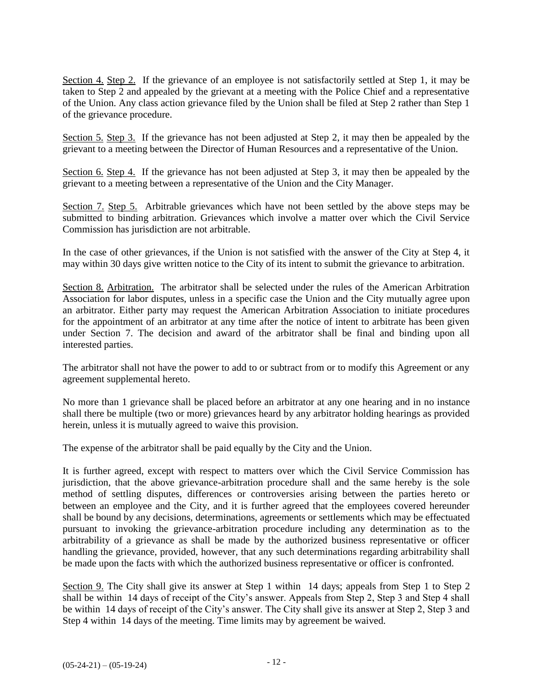Section 4. Step 2. If the grievance of an employee is not satisfactorily settled at Step 1, it may be taken to Step 2 and appealed by the grievant at a meeting with the Police Chief and a representative of the Union. Any class action grievance filed by the Union shall be filed at Step 2 rather than Step 1 of the grievance procedure.

Section 5. Step 3. If the grievance has not been adjusted at Step 2, it may then be appealed by the grievant to a meeting between the Director of Human Resources and a representative of the Union.

Section 6. Step 4. If the grievance has not been adjusted at Step 3, it may then be appealed by the grievant to a meeting between a representative of the Union and the City Manager.

Section 7. Step 5. Arbitrable grievances which have not been settled by the above steps may be submitted to binding arbitration. Grievances which involve a matter over which the Civil Service Commission has jurisdiction are not arbitrable.

In the case of other grievances, if the Union is not satisfied with the answer of the City at Step 4, it may within 30 days give written notice to the City of its intent to submit the grievance to arbitration.

Section 8. Arbitration. The arbitrator shall be selected under the rules of the American Arbitration Association for labor disputes, unless in a specific case the Union and the City mutually agree upon an arbitrator. Either party may request the American Arbitration Association to initiate procedures for the appointment of an arbitrator at any time after the notice of intent to arbitrate has been given under Section 7. The decision and award of the arbitrator shall be final and binding upon all interested parties.

The arbitrator shall not have the power to add to or subtract from or to modify this Agreement or any agreement supplemental hereto.

No more than 1 grievance shall be placed before an arbitrator at any one hearing and in no instance shall there be multiple (two or more) grievances heard by any arbitrator holding hearings as provided herein, unless it is mutually agreed to waive this provision.

The expense of the arbitrator shall be paid equally by the City and the Union.

It is further agreed, except with respect to matters over which the Civil Service Commission has jurisdiction, that the above grievance-arbitration procedure shall and the same hereby is the sole method of settling disputes, differences or controversies arising between the parties hereto or between an employee and the City, and it is further agreed that the employees covered hereunder shall be bound by any decisions, determinations, agreements or settlements which may be effectuated pursuant to invoking the grievance-arbitration procedure including any determination as to the arbitrability of a grievance as shall be made by the authorized business representative or officer handling the grievance, provided, however, that any such determinations regarding arbitrability shall be made upon the facts with which the authorized business representative or officer is confronted.

Section 9. The City shall give its answer at Step 1 within 14 days; appeals from Step 1 to Step 2 shall be within 14 days of receipt of the City's answer. Appeals from Step 2, Step 3 and Step 4 shall be within 14 days of receipt of the City's answer. The City shall give its answer at Step 2, Step 3 and Step 4 within 14 days of the meeting. Time limits may by agreement be waived.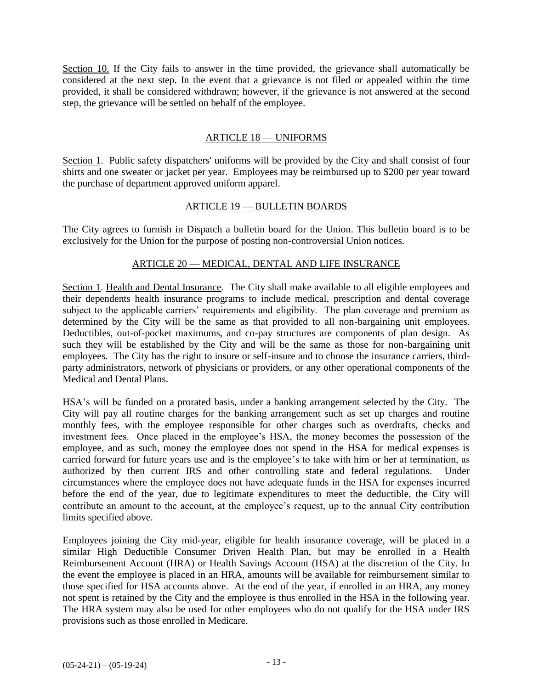Section 10. If the City fails to answer in the time provided, the grievance shall automatically be considered at the next step. In the event that a grievance is not filed or appealed within the time provided, it shall be considered withdrawn; however, if the grievance is not answered at the second step, the grievance will be settled on behalf of the employee.

#### ARTICLE 18 — UNIFORMS

Section 1. Public safety dispatchers' uniforms will be provided by the City and shall consist of four shirts and one sweater or jacket per year. Employees may be reimbursed up to \$200 per year toward the purchase of department approved uniform apparel.

#### ARTICLE 19 — BULLETIN BOARDS

The City agrees to furnish in Dispatch a bulletin board for the Union. This bulletin board is to be exclusively for the Union for the purpose of posting non-controversial Union notices.

#### ARTICLE 20 — MEDICAL, DENTAL AND LIFE INSURANCE

Section 1. Health and Dental Insurance. The City shall make available to all eligible employees and their dependents health insurance programs to include medical, prescription and dental coverage subject to the applicable carriers' requirements and eligibility. The plan coverage and premium as determined by the City will be the same as that provided to all non-bargaining unit employees. Deductibles, out-of-pocket maximums, and co-pay structures are components of plan design. As such they will be established by the City and will be the same as those for non-bargaining unit employees. The City has the right to insure or self-insure and to choose the insurance carriers, thirdparty administrators, network of physicians or providers, or any other operational components of the Medical and Dental Plans.

HSA's will be funded on a prorated basis, under a banking arrangement selected by the City. The City will pay all routine charges for the banking arrangement such as set up charges and routine monthly fees, with the employee responsible for other charges such as overdrafts, checks and investment fees. Once placed in the employee's HSA, the money becomes the possession of the employee, and as such, money the employee does not spend in the HSA for medical expenses is carried forward for future years use and is the employee's to take with him or her at termination, as authorized by then current IRS and other controlling state and federal regulations. Under circumstances where the employee does not have adequate funds in the HSA for expenses incurred before the end of the year, due to legitimate expenditures to meet the deductible, the City will contribute an amount to the account, at the employee's request, up to the annual City contribution limits specified above.

Employees joining the City mid-year, eligible for health insurance coverage, will be placed in a similar High Deductible Consumer Driven Health Plan, but may be enrolled in a Health Reimbursement Account (HRA) or Health Savings Account (HSA) at the discretion of the City. In the event the employee is placed in an HRA, amounts will be available for reimbursement similar to those specified for HSA accounts above. At the end of the year, if enrolled in an HRA, any money not spent is retained by the City and the employee is thus enrolled in the HSA in the following year. The HRA system may also be used for other employees who do not qualify for the HSA under IRS provisions such as those enrolled in Medicare.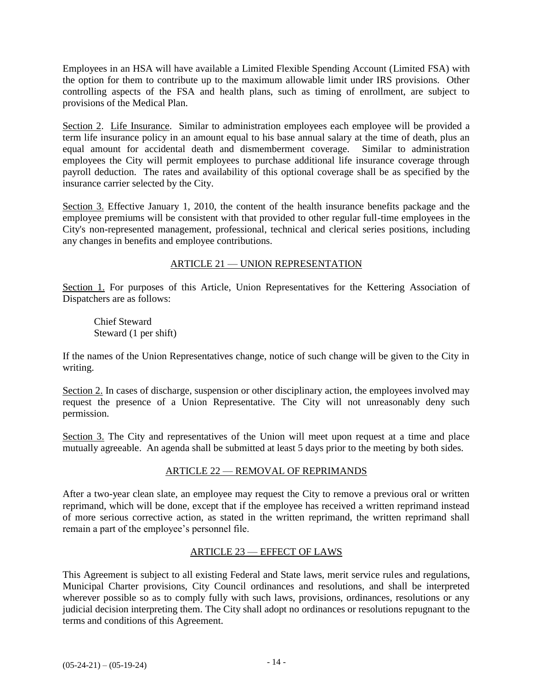Employees in an HSA will have available a Limited Flexible Spending Account (Limited FSA) with the option for them to contribute up to the maximum allowable limit under IRS provisions. Other controlling aspects of the FSA and health plans, such as timing of enrollment, are subject to provisions of the Medical Plan.

Section 2. Life Insurance. Similar to administration employees each employee will be provided a term life insurance policy in an amount equal to his base annual salary at the time of death, plus an equal amount for accidental death and dismemberment coverage. Similar to administration employees the City will permit employees to purchase additional life insurance coverage through payroll deduction. The rates and availability of this optional coverage shall be as specified by the insurance carrier selected by the City.

Section 3. Effective January 1, 2010, the content of the health insurance benefits package and the employee premiums will be consistent with that provided to other regular full-time employees in the City's non-represented management, professional, technical and clerical series positions, including any changes in benefits and employee contributions.

## ARTICLE 21 — UNION REPRESENTATION

Section 1. For purposes of this Article, Union Representatives for the Kettering Association of Dispatchers are as follows:

Chief Steward Steward (1 per shift)

If the names of the Union Representatives change, notice of such change will be given to the City in writing.

Section 2. In cases of discharge, suspension or other disciplinary action, the employees involved may request the presence of a Union Representative. The City will not unreasonably deny such permission.

Section 3. The City and representatives of the Union will meet upon request at a time and place mutually agreeable. An agenda shall be submitted at least 5 days prior to the meeting by both sides.

## ARTICLE 22 — REMOVAL OF REPRIMANDS

After a two-year clean slate, an employee may request the City to remove a previous oral or written reprimand, which will be done, except that if the employee has received a written reprimand instead of more serious corrective action, as stated in the written reprimand, the written reprimand shall remain a part of the employee's personnel file.

## ARTICLE 23 — EFFECT OF LAWS

This Agreement is subject to all existing Federal and State laws, merit service rules and regulations, Municipal Charter provisions, City Council ordinances and resolutions, and shall be interpreted wherever possible so as to comply fully with such laws, provisions, ordinances, resolutions or any judicial decision interpreting them. The City shall adopt no ordinances or resolutions repugnant to the terms and conditions of this Agreement.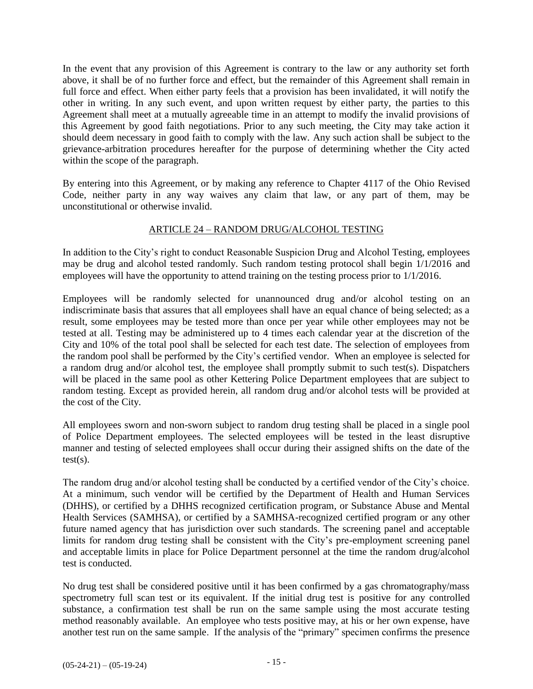In the event that any provision of this Agreement is contrary to the law or any authority set forth above, it shall be of no further force and effect, but the remainder of this Agreement shall remain in full force and effect. When either party feels that a provision has been invalidated, it will notify the other in writing. In any such event, and upon written request by either party, the parties to this Agreement shall meet at a mutually agreeable time in an attempt to modify the invalid provisions of this Agreement by good faith negotiations. Prior to any such meeting, the City may take action it should deem necessary in good faith to comply with the law. Any such action shall be subject to the grievance-arbitration procedures hereafter for the purpose of determining whether the City acted within the scope of the paragraph.

By entering into this Agreement, or by making any reference to Chapter 4117 of the Ohio Revised Code, neither party in any way waives any claim that law, or any part of them, may be unconstitutional or otherwise invalid.

## ARTICLE 24 – RANDOM DRUG/ALCOHOL TESTING

In addition to the City's right to conduct Reasonable Suspicion Drug and Alcohol Testing, employees may be drug and alcohol tested randomly. Such random testing protocol shall begin 1/1/2016 and employees will have the opportunity to attend training on the testing process prior to 1/1/2016.

Employees will be randomly selected for unannounced drug and/or alcohol testing on an indiscriminate basis that assures that all employees shall have an equal chance of being selected; as a result, some employees may be tested more than once per year while other employees may not be tested at all. Testing may be administered up to 4 times each calendar year at the discretion of the City and 10% of the total pool shall be selected for each test date. The selection of employees from the random pool shall be performed by the City's certified vendor. When an employee is selected for a random drug and/or alcohol test, the employee shall promptly submit to such test(s). Dispatchers will be placed in the same pool as other Kettering Police Department employees that are subject to random testing. Except as provided herein, all random drug and/or alcohol tests will be provided at the cost of the City.

All employees sworn and non-sworn subject to random drug testing shall be placed in a single pool of Police Department employees. The selected employees will be tested in the least disruptive manner and testing of selected employees shall occur during their assigned shifts on the date of the  $test(s)$ .

The random drug and/or alcohol testing shall be conducted by a certified vendor of the City's choice. At a minimum, such vendor will be certified by the Department of Health and Human Services (DHHS), or certified by a DHHS recognized certification program, or Substance Abuse and Mental Health Services (SAMHSA), or certified by a SAMHSA-recognized certified program or any other future named agency that has jurisdiction over such standards. The screening panel and acceptable limits for random drug testing shall be consistent with the City's pre-employment screening panel and acceptable limits in place for Police Department personnel at the time the random drug/alcohol test is conducted.

No drug test shall be considered positive until it has been confirmed by a gas chromatography/mass spectrometry full scan test or its equivalent. If the initial drug test is positive for any controlled substance, a confirmation test shall be run on the same sample using the most accurate testing method reasonably available. An employee who tests positive may, at his or her own expense, have another test run on the same sample. If the analysis of the "primary" specimen confirms the presence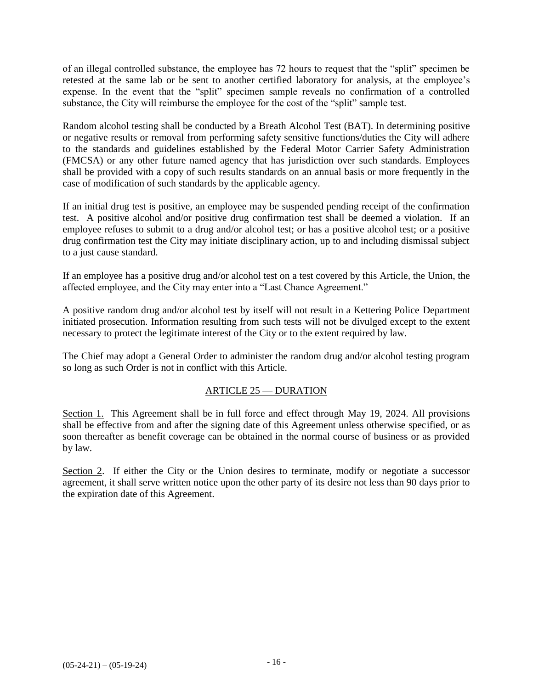of an illegal controlled substance, the employee has 72 hours to request that the "split" specimen be retested at the same lab or be sent to another certified laboratory for analysis, at the employee's expense. In the event that the "split" specimen sample reveals no confirmation of a controlled substance, the City will reimburse the employee for the cost of the "split" sample test.

Random alcohol testing shall be conducted by a Breath Alcohol Test (BAT). In determining positive or negative results or removal from performing safety sensitive functions/duties the City will adhere to the standards and guidelines established by the Federal Motor Carrier Safety Administration (FMCSA) or any other future named agency that has jurisdiction over such standards. Employees shall be provided with a copy of such results standards on an annual basis or more frequently in the case of modification of such standards by the applicable agency.

If an initial drug test is positive, an employee may be suspended pending receipt of the confirmation test. A positive alcohol and/or positive drug confirmation test shall be deemed a violation. If an employee refuses to submit to a drug and/or alcohol test; or has a positive alcohol test; or a positive drug confirmation test the City may initiate disciplinary action, up to and including dismissal subject to a just cause standard.

If an employee has a positive drug and/or alcohol test on a test covered by this Article, the Union, the affected employee, and the City may enter into a "Last Chance Agreement."

A positive random drug and/or alcohol test by itself will not result in a Kettering Police Department initiated prosecution. Information resulting from such tests will not be divulged except to the extent necessary to protect the legitimate interest of the City or to the extent required by law.

The Chief may adopt a General Order to administer the random drug and/or alcohol testing program so long as such Order is not in conflict with this Article.

## ARTICLE 25 — DURATION

Section 1. This Agreement shall be in full force and effect through May 19, 2024. All provisions shall be effective from and after the signing date of this Agreement unless otherwise specified, or as soon thereafter as benefit coverage can be obtained in the normal course of business or as provided by law.

Section 2. If either the City or the Union desires to terminate, modify or negotiate a successor agreement, it shall serve written notice upon the other party of its desire not less than 90 days prior to the expiration date of this Agreement.